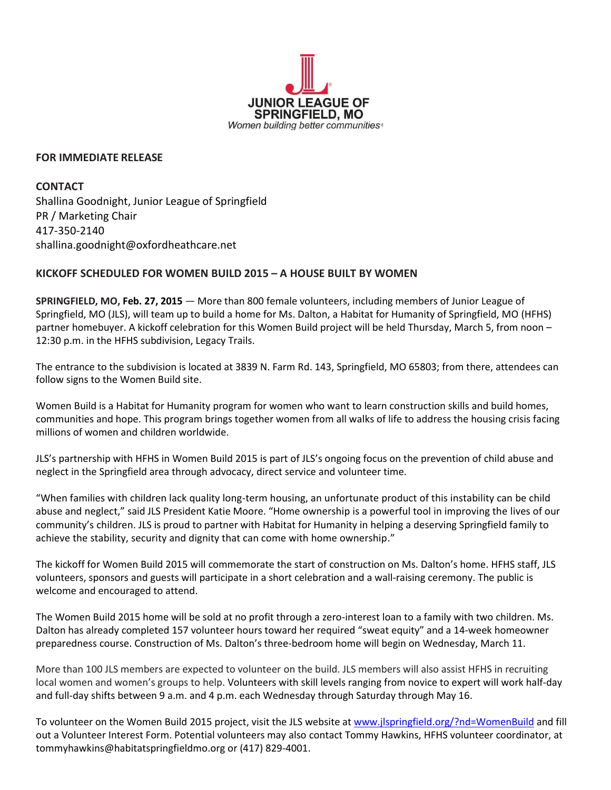

## **FOR IMMEDIATE RELEASE**

**CONTACT** Shallina Goodnight, Junior League of Springfield PR / Marketing Chair 417-350-2140 shallina.goodnight@oxfordheathcare.net

## **KICKOFF SCHEDULED FOR WOMEN BUILD 2015 – A HOUSE BUILT BY WOMEN**

**SPRINGFIELD, MO, Feb. 27, 2015** — More than 800 female volunteers, including members of Junior League of Springfield, MO (JLS), will team up to build a home for Ms. Dalton, a Habitat for Humanity of Springfield, MO (HFHS) partner homebuyer. A kickoff celebration for this Women Build project will be held Thursday, March 5, from noon – 12:30 p.m. in the HFHS subdivision, Legacy Trails.

The entrance to the subdivision is located at 3839 N. Farm Rd. 143, Springfield, MO 65803; from there, attendees can follow signs to the Women Build site.

Women Build is a Habitat for Humanity program for women who want to learn construction skills and build homes, communities and hope. This program brings together women from all walks of life to address the housing crisis facing millions of women and children worldwide.

JLS's partnership with HFHS in Women Build 2015 is part of JLS's ongoing focus on the prevention of child abuse and neglect in the Springfield area through advocacy, direct service and volunteer time.

"When families with children lack quality long-term housing, an unfortunate product of this instability can be child abuse and neglect," said JLS President Katie Moore. "Home ownership is a powerful tool in improving the lives of our community's children. JLS is proud to partner with Habitat for Humanity in helping a deserving Springfield family to achieve the stability, security and dignity that can come with home ownership."

The kickoff for Women Build 2015 will commemorate the start of construction on Ms. Dalton's home. HFHS staff, JLS volunteers, sponsors and guests will participate in a short celebration and a wall-raising ceremony. The public is welcome and encouraged to attend.

The Women Build 2015 home will be sold at no profit through a zero-interest loan to a family with two children. Ms. Dalton has already completed 157 volunteer hours toward her required "sweat equity" and a 14-week homeowner preparedness course. Construction of Ms. Dalton's three-bedroom home will begin on Wednesday, March 11.

More than 100 JLS members are expected to volunteer on the build. JLS members will also assist HFHS in recruiting local women and women's groups to help. Volunteers with skill levels ranging from novice to expert will work half-day and full-day shifts between 9 a.m. and 4 p.m. each Wednesday through Saturday through May 16.

To volunteer on the Women Build 2015 project, visit the JLS website a[t www.jlspringfield.org/?nd=WomenBuild](http://www.jlspringfield.org/?nd=WomenBuild) and fill out a Volunteer Interest Form. Potential volunteers may also contact Tommy Hawkins, HFHS volunteer coordinator, at [tommyhawkins@habitatspringfieldmo.org](mailto:tommyhawkins@habitatspringfieldmo.org) or (417) 829-4001.